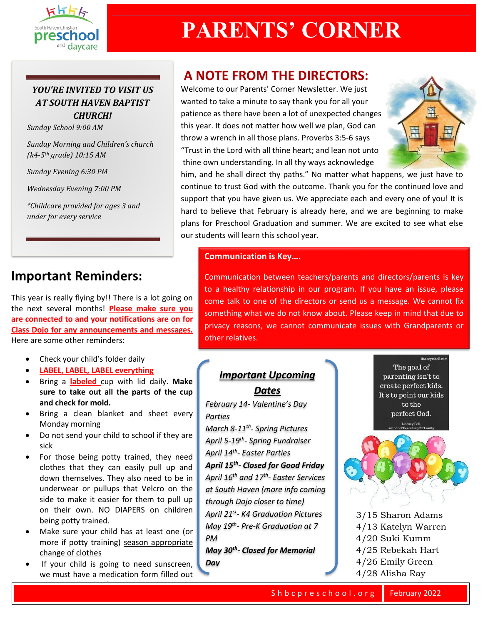

# **PARENTS' CORNER**

### *YOU'RE INVITED TO VISIT US AT SOUTH HAVEN BAPTIST CHURCH!*

*Sunday School 9:00 AM* 

*Sunday Morning and Children's church (k4-5th grade) 10:15 AM*

*Sunday Evening 6:30 PM*

*Wednesday Evening 7:00 PM*

*\*Childcare provided for ages 3 and under for every service*

## **Important Reminders:**

This year is really flying by!! There is a lot going on the next several months! **Please make sure you are connected to and your notifications are on for Class Dojo for any announcements and messages.**  Here are some other reminders:

- Check your child's folder daily
- **LABEL, LABEL, LABEL everything**
- Bring a **labeled** cup with lid daily. **Make sure to take out all the parts of the cup and check for mold.**
- Bring a clean blanket and sheet every Monday morning
- Do not send your child to school if they are sick
- For those being potty trained, they need clothes that they can easily pull up and down themselves. They also need to be in underwear or pullups that Velcro on the side to make it easier for them to pull up on their own. NO DIAPERS on children being potty trained.
- Make sure your child has at least one (or more if potty training) season appropriate change of clothes
- If your child is going to need sunscreen, we must have a medication form filled out

and a new bottle of sunscreen.

## **A NOTE FROM THE DIRECTORS:**

Welcome to our Parents' Corner Newsletter. We just wanted to take a minute to say thank you for all your patience as there have been a lot of unexpected changes this year. It does not matter how well we plan, God can throw a wrench in all those plans. Proverbs 3:5-6 says "Trust in the Lord with all thine heart; and lean not unto thine own understanding. In all thy ways acknowledge



him, and he shall direct thy paths." No matter what happens, we just have to continue to trust God with the outcome. Thank you for the continued love and support that you have given us. We appreciate each and every one of you! It is hard to believe that February is already here, and we are beginning to make plans for Preschool Graduation and summer. We are excited to see what else our students will learn this school year.

### **Communication is Key….**

Communication between teachers/parents and directors/parents is key to a healthy relationship in our program. If you have an issue, please come talk to one of the directors or send us a message. We cannot fix something what we do not know about. Please keep in mind that due to privacy reasons, we cannot communicate issues with Grandparents or other relatives.

## *Important Upcoming*

### *Dates*

*February 14- Valentine's Day Parties*

*March 8-11th - Spring Pictures April 5-19th - Spring Fundraiser April 14th - Easter Parties*

*April 15th - Closed for Good Friday April 16th and 17th - Easter Services at South Haven (more info coming through Dojo closer to time) April 21st - K4 Graduation Pictures May 19th - Pre-K Graduation at 7 PM*

*May 30th - Closed for Memorial Day*

The goal of parenting isn't to create perfect kids. It's to point our kids to the perfect God.

eymbell con



- 3/15 Sharon Adams 4/13 Katelyn Warren 4/20 Suki Kumm 4/25 Rebekah Hart 4/26 Emily Green
- 4/28 Alisha Ray